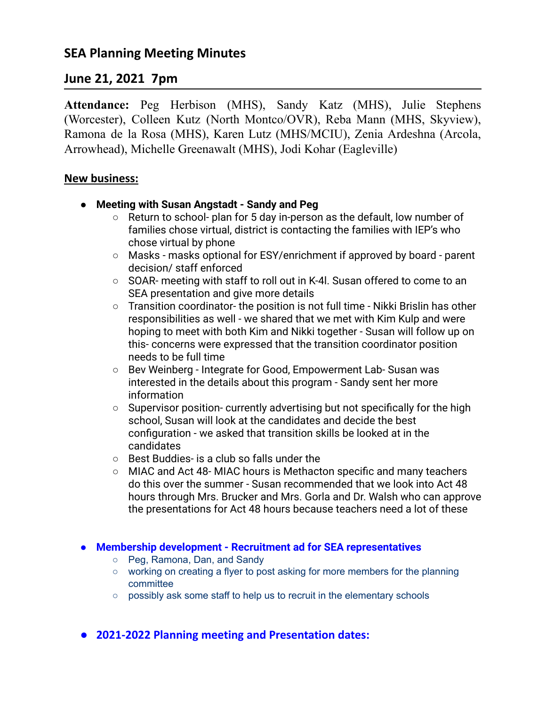# **June 21, 2021 7pm**

**Attendance:** Peg Herbison (MHS), Sandy Katz (MHS), Julie Stephens (Worcester), Colleen Kutz (North Montco/OVR), Reba Mann (MHS, Skyview), Ramona de la Rosa (MHS), Karen Lutz (MHS/MCIU), Zenia Ardeshna (Arcola, Arrowhead), Michelle Greenawalt (MHS), Jodi Kohar (Eagleville)

## **New business:**

- **● Meeting with Susan Angstadt Sandy and Peg**
	- Return to school- plan for 5 day in-person as the default, low number of families chose virtual, district is contacting the families with IEP's who chose virtual by phone
	- Masks masks optional for ESY/enrichment if approved by board parent decision/ staff enforced
	- SOAR- meeting with staff to roll out in K-4l. Susan offered to come to an SEA presentation and give more details
	- Transition coordinator- the position is not full time Nikki Brislin has other responsibilities as well - we shared that we met with Kim Kulp and were hoping to meet with both Kim and Nikki together - Susan will follow up on this- concerns were expressed that the transition coordinator position needs to be full time
	- Bev Weinberg Integrate for Good, Empowerment Lab- Susan was interested in the details about this program - Sandy sent her more information
	- Supervisor position- currently advertising but not specifically for the high school, Susan will look at the candidates and decide the best configuration - we asked that transition skills be looked at in the candidates
	- Best Buddies- is a club so falls under the
	- MIAC and Act 48- MIAC hours is Methacton specific and many teachers do this over the summer - Susan recommended that we look into Act 48 hours through Mrs. Brucker and Mrs. Gorla and Dr. Walsh who can approve the presentations for Act 48 hours because teachers need a lot of these

#### ● **Membership development - Recruitment ad for SEA representatives**

- **○** Peg, Ramona, Dan, and Sandy
- working on creating a flyer to post asking for more members for the planning committee
- possibly ask some staff to help us to recruit in the elementary schools
- **● 2021-2022 Planning meeting and Presentation dates:**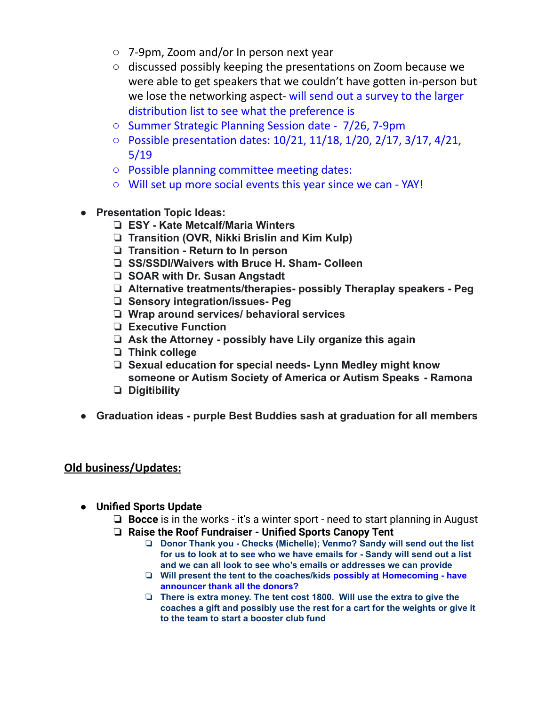- 7-9pm, Zoom and/or In person next year
- discussed possibly keeping the presentations on Zoom because we were able to get speakers that we couldn't have gotten in-person but we lose the networking aspect- will send out a survey to the larger distribution list to see what the preference is
- Summer Strategic Planning Session date 7/26, 7-9pm
- Possible presentation dates: 10/21, 11/18, 1/20, 2/17, 3/17, 4/21, 5/19
- Possible planning committee meeting dates:
- Will set up more social events this year since we can YAY!
- **● Presentation Topic Ideas:**
	- ❏ **ESY Kate Metcalf/Maria Winters**
	- ❏ **Transition (OVR, Nikki Brislin and Kim Kulp)**
	- ❏ **Transition Return to In person**
	- ❏ **SS/SSDI/Waivers with Bruce H. Sham- Colleen**
	- ❏ **SOAR with Dr. Susan Angstadt**
	- ❏ **Alternative treatments/therapies- possibly Theraplay speakers Peg**
	- ❏ **Sensory integration/issues- Peg**
	- ❏ **Wrap around services/ behavioral services**
	- ❏ **Executive Function**
	- ❏ **Ask the Attorney possibly have Lily organize this again**
	- ❏ **Think college**
	- ❏ **Sexual education for special needs- Lynn Medley might know someone or Autism Society of America or Autism Speaks - Ramona**
	- ❏ **Digitibility**
- **● Graduation ideas purple Best Buddies sash at graduation for all members**

## **Old business/Updates:**

- **● Unified Sports Update**
	- ❏ **Bocce** is in the works it's a winter sport need to start planning in August ❏ **Raise the Roof Fundraiser - Unified Sports Canopy Tent**
		- ❏ **Donor Thank you - Checks (Michelle); Venmo? Sandy will send out the list for us to look at to see who we have emails for - Sandy will send out a list and we can all look to see who's emails or addresses we can provide**
		- ❏ **Will present the tent to the coaches/kids possibly at Homecoming - have announcer thank all the donors?**
		- ❏ **There is extra money. The tent cost 1800. Will use the extra to give the coaches a gift and possibly use the rest for a cart for the weights or give it to the team to start a booster club fund**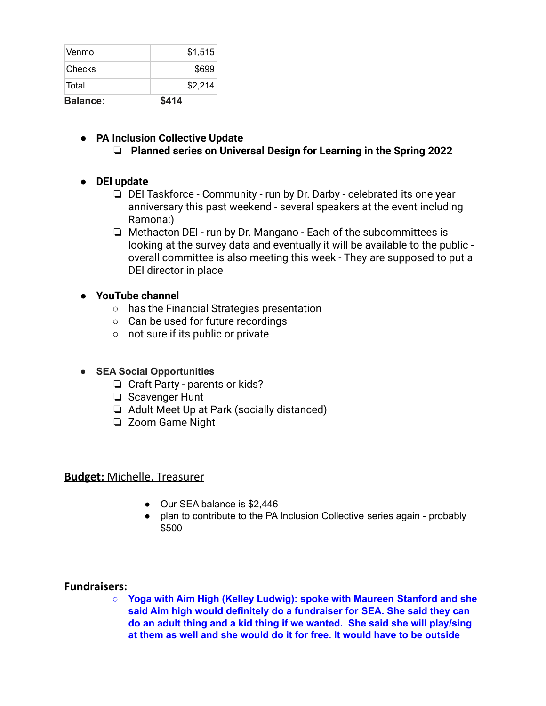| <b>Balance:</b> | \$414   |
|-----------------|---------|
| Total           | \$2,214 |
| <b>Checks</b>   | \$699   |
| ∣Venmo          | \$1,515 |

### **● PA Inclusion Collective Update**

### ❏ **Planned series on Universal Design for Learning in the Spring 2022**

- **● DEI update**
	- ❏ DEI Taskforce Community run by Dr. Darby celebrated its one year anniversary this past weekend - several speakers at the event including Ramona:)
	- ❏ Methacton DEI run by Dr. Mangano Each of the subcommittees is looking at the survey data and eventually it will be available to the public overall committee is also meeting this week - They are supposed to put a DEI director in place

### **● YouTube channel**

- has the Financial Strategies presentation
- Can be used for future recordings
- not sure if its public or private

#### **● SEA Social Opportunities**

- ❏ Craft Party parents or kids?
- ❏ Scavenger Hunt
- ❏ Adult Meet Up at Park (socially distanced)
- ❏ Zoom Game Night

#### **Budget:** Michelle, Treasurer

- Our SEA balance is \$2,446
- plan to contribute to the PA Inclusion Collective series again probably \$500

#### **Fundraisers:**

**○ Yoga with Aim High (Kelley Ludwig): spoke with Maureen Stanford and she said Aim high would definitely do a fundraiser for SEA. She said they can do an adult thing and a kid thing if we wanted. She said she will play/sing at them as well and she would do it for free. It would have to be outside**